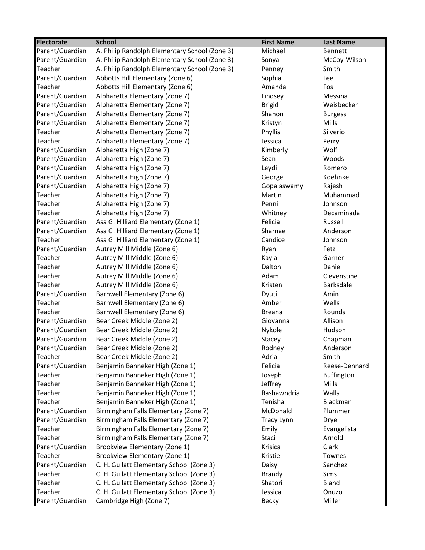| <b>Electorate</b> | <b>School</b>                                 | <b>First Name</b> | <b>Last Name</b> |
|-------------------|-----------------------------------------------|-------------------|------------------|
| Parent/Guardian   | A. Philip Randolph Elementary School (Zone 3) | Michael           | Bennett          |
| Parent/Guardian   | A. Philip Randolph Elementary School (Zone 3) | Sonya             | McCoy-Wilson     |
| Teacher           | A. Philip Randolph Elementary School (Zone 3) | Penney            | Smith            |
| Parent/Guardian   | Abbotts Hill Elementary (Zone 6)              | Sophia            | Lee              |
| Teacher           | Abbotts Hill Elementary (Zone 6)              | Amanda            | Fos              |
| Parent/Guardian   | Alpharetta Elementary (Zone 7)                | Lindsey           | Messina          |
| Parent/Guardian   | Alpharetta Elementary (Zone 7)                | <b>Brigid</b>     | Weisbecker       |
| Parent/Guardian   | Alpharetta Elementary (Zone 7)                | Shanon            | <b>Burgess</b>   |
| Parent/Guardian   | Alpharetta Elementary (Zone 7)                | Kristyn           | <b>Mills</b>     |
| Teacher           | Alpharetta Elementary (Zone 7)                | Phyllis           | Silverio         |
| Teacher           | Alpharetta Elementary (Zone 7)                | Jessica           | Perry            |
| Parent/Guardian   | Alpharetta High (Zone 7)                      | Kimberly          | Wolf             |
| Parent/Guardian   | Alpharetta High (Zone 7)                      | Sean              | Woods            |
| Parent/Guardian   | Alpharetta High (Zone 7)                      | Leydi             | Romero           |
| Parent/Guardian   | Alpharetta High (Zone 7)                      | George            | Koehnke          |
| Parent/Guardian   | Alpharetta High (Zone 7)                      | Gopalaswamy       | Rajesh           |
| Teacher           | Alpharetta High (Zone 7)                      | Martin            | Muhammad         |
| Teacher           | Alpharetta High (Zone 7)                      | Penni             | Johnson          |
| Teacher           | Alpharetta High (Zone 7)                      | Whitney           | Decaminada       |
| Parent/Guardian   | Asa G. Hilliard Elementary (Zone 1)           | Felicia           | Russell          |
| Parent/Guardian   | Asa G. Hilliard Elementary (Zone 1)           | Sharnae           | Anderson         |
| Teacher           | Asa G. Hilliard Elementary (Zone 1)           | Candice           | Johnson          |
| Parent/Guardian   | Autrey Mill Middle (Zone 6)                   | Ryan              | Fetz             |
| Teacher           | Autrey Mill Middle (Zone 6)                   | Kayla             | Garner           |
| Teacher           | Autrey Mill Middle (Zone 6)                   | Dalton            | Daniel           |
| Teacher           | Autrey Mill Middle (Zone 6)                   | Adam              | Clevenstine      |
| Teacher           | Autrey Mill Middle (Zone 6)                   | Kristen           | Barksdale        |
| Parent/Guardian   | Barnwell Elementary (Zone 6)                  | Dyuti             | Amin             |
| Teacher           | Barnwell Elementary (Zone 6)                  | Amber             | Wells            |
| Teacher           | Barnwell Elementary (Zone 6)                  | <b>Breana</b>     | Rounds           |
| Parent/Guardian   | Bear Creek Middle (Zone 2)                    | Giovanna          | Allison          |
| Parent/Guardian   | Bear Creek Middle (Zone 2)                    | Nykole            | Hudson           |
| Parent/Guardian   | Bear Creek Middle (Zone 2)                    | Stacey            | Chapman          |
| Parent/Guardian   | Bear Creek Middle (Zone 2)                    | Rodney            | Anderson         |
| Teacher           | Bear Creek Middle (Zone 2)                    | Adria             | Smith            |
| Parent/Guardian   | Benjamin Banneker High (Zone 1)               | Felicia           | Reese-Dennard    |
| Teacher           | Benjamin Banneker High (Zone 1)               | Joseph            | Buffington       |
| Teacher           | Benjamin Banneker High (Zone 1)               | Jeffrey           | Mills            |
| Teacher           | Benjamin Banneker High (Zone 1)               | Rashawndria       | Walls            |
| Teacher           | Benjamin Banneker High (Zone 1)               | Tenisha           | Blackman         |
| Parent/Guardian   | Birmingham Falls Elementary (Zone 7)          | McDonald          | Plummer          |
| Parent/Guardian   | Birmingham Falls Elementary (Zone 7)          | Tracy Lynn        | Drye             |
| Teacher           | Birmingham Falls Elementary (Zone 7)          | Emily             | Evangelista      |
| Teacher           | Birmingham Falls Elementary (Zone 7)          | Staci             | Arnold           |
| Parent/Guardian   | Brookview Elementary (Zone 1)                 | Krisica           | Clark            |
| Teacher           | Brookview Elementary (Zone 1)                 | Kristie           | Townes           |
| Parent/Guardian   | C. H. Gullatt Elementary School (Zone 3)      | Daisy             | Sanchez          |
| Teacher           | C. H. Gullatt Elementary School (Zone 3)      | <b>Brandy</b>     | Sims             |
| Teacher           | C. H. Gullatt Elementary School (Zone 3)      | Shatori           | Bland            |
| Teacher           | C. H. Gullatt Elementary School (Zone 3)      | Jessica           | Onuzo            |
| Parent/Guardian   | Cambridge High (Zone 7)                       | Becky             | Miller           |
|                   |                                               |                   |                  |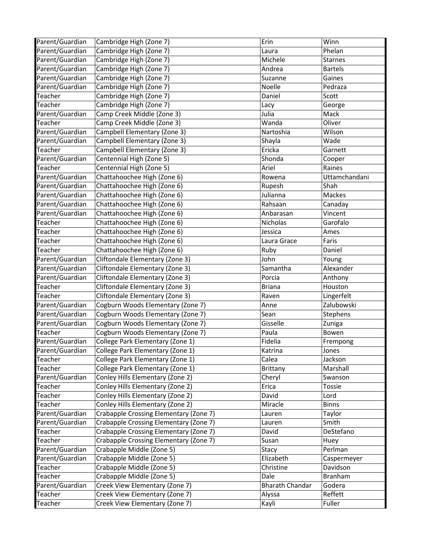| Parent/Guardian | Cambridge High (Zone 7)                | Erin                   | Winn           |
|-----------------|----------------------------------------|------------------------|----------------|
| Parent/Guardian | Cambridge High (Zone 7)                | Laura                  | Phelan         |
| Parent/Guardian | Cambridge High (Zone 7)                | Michele                | <b>Starnes</b> |
| Parent/Guardian | Cambridge High (Zone 7)                | Andrea                 | <b>Bartels</b> |
| Parent/Guardian | Cambridge High (Zone 7)                | Suzanne                | Gaines         |
| Parent/Guardian | Cambridge High (Zone 7)                | Noelle                 | Pedraza        |
| Teacher         | Cambridge High (Zone 7)                | Daniel                 | Scott          |
| Teacher         | Cambridge High (Zone 7)                | Lacy                   | George         |
| Parent/Guardian | Camp Creek Middle (Zone 3)             | Julia                  | Mack           |
| Teacher         | Camp Creek Middle (Zone 3)             | Wanda                  | Oliver         |
| Parent/Guardian | Campbell Elementary (Zone 3)           | Nartoshia              | Wilson         |
| Parent/Guardian | Campbell Elementary (Zone 3)           | Shayla                 | Wade           |
| Teacher         | Campbell Elementary (Zone 3)           | Ericka                 | Garnett        |
| Parent/Guardian | Centennial High (Zone 5)               | Shonda                 | Cooper         |
| Teacher         | Centennial High (Zone 5)               | Ariel                  | Raines         |
| Parent/Guardian | Chattahoochee High (Zone 6)            | Rowena                 | Uttamchandani  |
| Parent/Guardian | Chattahoochee High (Zone 6)            | Rupesh                 | Shah           |
| Parent/Guardian | Chattahoochee High (Zone 6)            | Julianna               | Mackes         |
| Parent/Guardian | Chattahoochee High (Zone 6)            | Rahsaan                | Canaday        |
| Parent/Guardian | Chattahoochee High (Zone 6)            | Anbarasan              | Vincent        |
| Teacher         | Chattahoochee High (Zone 6)            | Nicholas               | Garofalo       |
| Teacher         | Chattahoochee High (Zone 6)            | Jessica                | Ames           |
| Teacher         | Chattahoochee High (Zone 6)            | Laura Grace            | Faris          |
| Teacher         | Chattahoochee High (Zone 6)            | Ruby                   | Daniel         |
| Parent/Guardian | Cliftondale Elementary (Zone 3)        | John                   | Young          |
| Parent/Guardian | Cliftondale Elementary (Zone 3)        | Samantha               | Alexander      |
| Parent/Guardian | Cliftondale Elementary (Zone 3)        | Porcia                 | Anthony        |
| Teacher         | Cliftondale Elementary (Zone 3)        | <b>Briana</b>          | Houston        |
| Teacher         | Cliftondale Elementary (Zone 3)        | Raven                  | Lingerfelt     |
| Parent/Guardian | Cogburn Woods Elementary (Zone 7)      | Anne                   | Zalubowski     |
| Parent/Guardian | Cogburn Woods Elementary (Zone 7)      | Sean                   | Stephens       |
| Parent/Guardian | Cogburn Woods Elementary (Zone 7)      | Gisselle               | Zuniga         |
| Teacher         | Cogburn Woods Elementary (Zone 7)      | Paula                  | Bowen          |
| Parent/Guardian | College Park Elementary (Zone 1)       | Fidelia                | Frempong       |
| Parent/Guardian | College Park Elementary (Zone 1)       | Katrina                | Jones          |
| Teacher         | College Park Elementary (Zone 1)       | Calea                  | Jackson        |
| Teacher         | College Park Elementary (Zone 1)       | Brittany               | Marshall       |
| Parent/Guardian | Conley Hills Elementary (Zone 2)       | Cheryl                 | Swanson        |
| Teacher         | Conley Hills Elementary (Zone 2)       | Erica                  | <b>Tossie</b>  |
| Teacher         | Conley Hills Elementary (Zone 2)       | David                  | Lord           |
| Teacher         | Conley Hills Elementary (Zone 2)       | Miracle                | <b>Binns</b>   |
| Parent/Guardian | Crabapple Crossing Elementary (Zone 7) | Lauren                 | Taylor         |
| Parent/Guardian | Crabapple Crossing Elementary (Zone 7) | Lauren                 | Smith          |
| Teacher         | Crabapple Crossing Elementary (Zone 7) | David                  | DeStefano      |
| Teacher         | Crabapple Crossing Elementary (Zone 7) | Susan                  | Huey           |
| Parent/Guardian | Crabapple Middle (Zone 5)              | Stacy                  | Perlman        |
| Parent/Guardian | Crabapple Middle (Zone 5)              | Elizabeth              | Caspermeyer    |
| Teacher         | Crabapple Middle (Zone 5)              | Christine              | Davidson       |
| Teacher         | Crabapple Middle (Zone 5)              | Dale                   | Branham        |
| Parent/Guardian | Creek View Elementary (Zone 7)         | <b>Bharath Chandar</b> | Godera         |
| Teacher         | Creek View Elementary (Zone 7)         | Alyssa                 | Reffett        |
| Teacher         | Creek View Elementary (Zone 7)         | Kayli                  | Fuller         |
|                 |                                        |                        |                |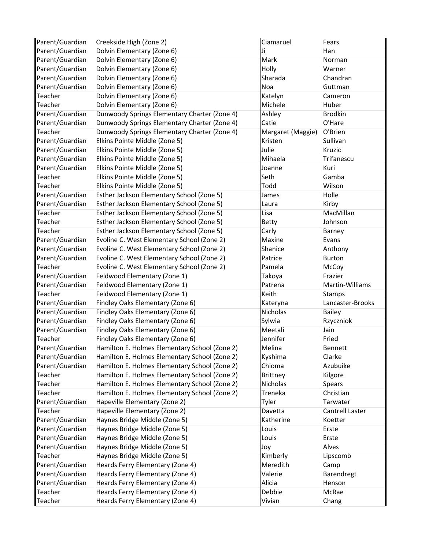| Parent/Guardian | Creekside High (Zone 2)                       | Ciamaruel         | Fears            |
|-----------------|-----------------------------------------------|-------------------|------------------|
| Parent/Guardian | Dolvin Elementary (Zone 6)                    | Ji                | Han              |
| Parent/Guardian | Dolvin Elementary (Zone 6)                    | Mark              | Norman           |
| Parent/Guardian | Dolvin Elementary (Zone 6)                    | Holly             | Warner           |
| Parent/Guardian | Dolvin Elementary (Zone 6)                    | Sharada           | Chandran         |
| Parent/Guardian | Dolvin Elementary (Zone 6)                    | Noa               | Guttman          |
| Teacher         | Dolvin Elementary (Zone 6)                    | Katelyn           | Cameron          |
| Teacher         | Dolvin Elementary (Zone 6)                    | Michele           | Huber            |
| Parent/Guardian | Dunwoody Springs Elementary Charter (Zone 4)  | Ashley            | <b>Brodkin</b>   |
| Parent/Guardian | Dunwoody Springs Elementary Charter (Zone 4)  | Catie             | O'Hare           |
| Teacher         | Dunwoody Springs Elementary Charter (Zone 4)  | Margaret (Maggie) | O'Brien          |
| Parent/Guardian | Elkins Pointe Middle (Zone 5)                 | Kristen           | Sullivan         |
| Parent/Guardian | Elkins Pointe Middle (Zone 5)                 | Julie             | Kruzic           |
| Parent/Guardian | Elkins Pointe Middle (Zone 5)                 | Mihaela           | Trifanescu       |
| Parent/Guardian | Elkins Pointe Middle (Zone 5)                 | Joanne            | Kuri             |
| Teacher         | Elkins Pointe Middle (Zone 5)                 | Seth              | Gamba            |
| Teacher         | Elkins Pointe Middle (Zone 5)                 | Todd              | Wilson           |
| Parent/Guardian | Esther Jackson Elementary School (Zone 5)     | James             | Holle            |
| Parent/Guardian | Esther Jackson Elementary School (Zone 5)     | Laura             | Kirby            |
| Teacher         | Esther Jackson Elementary School (Zone 5)     | Lisa              | MacMillan        |
| Teacher         | Esther Jackson Elementary School (Zone 5)     | <b>Betty</b>      | Johnson          |
| Teacher         | Esther Jackson Elementary School (Zone 5)     | Carly             | Barney           |
| Parent/Guardian | Evoline C. West Elementary School (Zone 2)    | Maxine            | Evans            |
| Parent/Guardian | Evoline C. West Elementary School (Zone 2)    | Shanice           | Anthony          |
| Parent/Guardian | Evoline C. West Elementary School (Zone 2)    | Patrice           | <b>Burton</b>    |
| Teacher         | Evoline C. West Elementary School (Zone 2)    | Pamela            | McCoy            |
| Parent/Guardian | Feldwood Elementary (Zone 1)                  | Takoya            | Frazier          |
| Parent/Guardian | Feldwood Elementary (Zone 1)                  | Patrena           | Martin-Williams  |
| Teacher         | Feldwood Elementary (Zone 1)                  | Keith             | Stamps           |
| Parent/Guardian | Findley Oaks Elementary (Zone 6)              | Kateryna          | Lancaster-Brooks |
| Parent/Guardian | Findley Oaks Elementary (Zone 6)              | Nicholas          | <b>Bailey</b>    |
| Parent/Guardian | Findley Oaks Elementary (Zone 6)              | Sylwia            | Rzyczniok        |
| Parent/Guardian | Findley Oaks Elementary (Zone 6)              | Meetali           | Jain             |
| Teacher         | Findley Oaks Elementary (Zone 6)              | Jennifer          | Fried            |
| Parent/Guardian | Hamilton E. Holmes Elementary School (Zone 2) | Melina            | Bennett          |
| Parent/Guardian | Hamilton E. Holmes Elementary School (Zone 2) | Kyshima           | Clarke           |
| Parent/Guardian | Hamilton E. Holmes Elementary School (Zone 2) | Chioma            | Azubuike         |
| Teacher         | Hamilton E. Holmes Elementary School (Zone 2) | <b>Brittney</b>   | Kilgore          |
| Teacher         | Hamilton E. Holmes Elementary School (Zone 2) | Nicholas          | Spears           |
| Teacher         | Hamilton E. Holmes Elementary School (Zone 2) | Treneka           | Christian        |
| Parent/Guardian | Hapeville Elementary (Zone 2)                 | Tyler             | Tarwater         |
| Teacher         | Hapeville Elementary (Zone 2)                 | Davetta           | Cantrell Laster  |
| Parent/Guardian | Haynes Bridge Middle (Zone 5)                 | Katherine         | Koetter          |
| Parent/Guardian | Haynes Bridge Middle (Zone 5)                 | Louis             | Erste            |
| Parent/Guardian | Haynes Bridge Middle (Zone 5)                 | Louis             | Erste            |
| Parent/Guardian | Haynes Bridge Middle (Zone 5)                 | Joy               | Alves            |
| Teacher         | Haynes Bridge Middle (Zone 5)                 | Kimberly          | Lipscomb         |
| Parent/Guardian | Heards Ferry Elementary (Zone 4)              | Meredith          | Camp             |
| Parent/Guardian | Heards Ferry Elementary (Zone 4)              | Valerie           | Barendregt       |
| Parent/Guardian | Heards Ferry Elementary (Zone 4)              | Alicia            | Henson           |
| Teacher         | Heards Ferry Elementary (Zone 4)              | Debbie            | McRae            |
| Teacher         | Heards Ferry Elementary (Zone 4)              | Vivian            | Chang            |
|                 |                                               |                   |                  |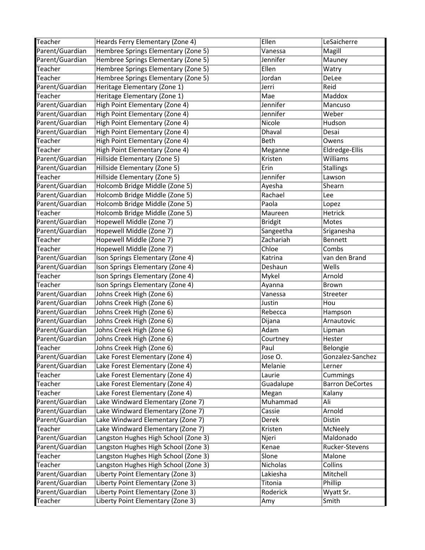| Teacher                    | Heards Ferry Elementary (Zone 4)                                       | Ellen           | LeSaicherre            |
|----------------------------|------------------------------------------------------------------------|-----------------|------------------------|
| Parent/Guardian            | Hembree Springs Elementary (Zone 5)                                    | Vanessa         | Magill                 |
| Parent/Guardian            | Hembree Springs Elementary (Zone 5)                                    | Jennifer        | Mauney                 |
| Teacher                    | Hembree Springs Elementary (Zone 5)                                    | Ellen           | Watry                  |
| Teacher                    | Hembree Springs Elementary (Zone 5)                                    | Jordan          | DeLee                  |
| Parent/Guardian            | Heritage Elementary (Zone 1)                                           | Jerri           | Reid                   |
| Teacher                    | Heritage Elementary (Zone 1)                                           | Mae             | Maddox                 |
| Parent/Guardian            | High Point Elementary (Zone 4)                                         | Jennifer        | Mancuso                |
| Parent/Guardian            | High Point Elementary (Zone 4)                                         | Jennifer        | Weber                  |
| Parent/Guardian            | High Point Elementary (Zone 4)                                         | Nicole          | Hudson                 |
| Parent/Guardian            | High Point Elementary (Zone 4)                                         | Dhaval          | Desai                  |
| Teacher                    | High Point Elementary (Zone 4)                                         | Beth            | Owens                  |
| Teacher                    | High Point Elementary (Zone 4)                                         | Meganne         | Eldredge-Ellis         |
| Parent/Guardian            | Hillside Elementary (Zone 5)                                           | Kristen         | Williams               |
| Parent/Guardian            | Hillside Elementary (Zone 5)                                           | Erin            | <b>Stallings</b>       |
| Teacher                    | Hillside Elementary (Zone 5)                                           | Jennifer        | Lawson                 |
| Parent/Guardian            | Holcomb Bridge Middle (Zone 5)                                         | Ayesha          | Shearn                 |
| Parent/Guardian            | Holcomb Bridge Middle (Zone 5)                                         | Rachael         | Lee                    |
| Parent/Guardian            | Holcomb Bridge Middle (Zone 5)                                         | Paola           | Lopez                  |
| Teacher                    | Holcomb Bridge Middle (Zone 5)                                         | Maureen         | Hetrick                |
| Parent/Guardian            | Hopewell Middle (Zone 7)                                               | <b>Bridgit</b>  | Motes                  |
| Parent/Guardian            | Hopewell Middle (Zone 7)                                               | Sangeetha       | Sriganesha             |
| Teacher                    | Hopewell Middle (Zone 7)                                               | Zachariah       | Bennett                |
| Teacher                    | Hopewell Middle (Zone 7)                                               | Chloe           | Combs                  |
| Parent/Guardian            | Ison Springs Elementary (Zone 4)                                       | Katrina         | van den Brand          |
| Parent/Guardian            | Ison Springs Elementary (Zone 4)                                       | Deshaun         | Wells                  |
|                            |                                                                        |                 |                        |
|                            |                                                                        |                 |                        |
| Teacher                    | Ison Springs Elementary (Zone 4)                                       | Mykel           | Arnold                 |
| Teacher                    | Ison Springs Elementary (Zone 4)                                       | Ayanna          | Brown                  |
| Parent/Guardian            | Johns Creek High (Zone 6)                                              | Vanessa         | Streeter               |
| Parent/Guardian            | Johns Creek High (Zone 6)                                              | Justin          | Hou                    |
| Parent/Guardian            | Johns Creek High (Zone 6)                                              | Rebecca         | Hampson                |
| Parent/Guardian            | Johns Creek High (Zone 6)                                              | Dijana          | Arnautovic             |
| Parent/Guardian            | Johns Creek High (Zone 6)                                              | Adam            | Lipman                 |
| Parent/Guardian            | Johns Creek High (Zone 6)                                              | Courtney        | Hester                 |
| Teacher                    | Johns Creek High (Zone 6)                                              | Paul            | Belongie               |
| Parent/Guardian            | Lake Forest Elementary (Zone 4)                                        | Jose O.         | Gonzalez-Sanchez       |
| Parent/Guardian            | Lake Forest Elementary (Zone 4)                                        | Melanie         | Lerner                 |
| Teacher                    | Lake Forest Elementary (Zone 4)                                        | Laurie          | Cummings               |
| Teacher                    | Lake Forest Elementary (Zone 4)                                        | Guadalupe       | <b>Barron DeCortes</b> |
| Teacher                    | Lake Forest Elementary (Zone 4)                                        | Megan           | Kalany                 |
| Parent/Guardian            | Lake Windward Elementary (Zone 7)                                      | Muhammad        | Ali                    |
| Parent/Guardian            | Lake Windward Elementary (Zone 7)                                      | Cassie          | Arnold                 |
| Parent/Guardian            | Lake Windward Elementary (Zone 7)                                      | Derek           | Distin                 |
| Teacher                    | Lake Windward Elementary (Zone 7)                                      | Kristen         | McNeely                |
| Parent/Guardian            | Langston Hughes High School (Zone 3)                                   | Njeri           | Maldonado              |
| Parent/Guardian            | Langston Hughes High School (Zone 3)                                   | Kenae           | Rucker-Stevens         |
| Teacher                    | Langston Hughes High School (Zone 3)                                   | Slone           | Malone                 |
| Teacher                    | Langston Hughes High School (Zone 3)                                   | Nicholas        | Collins                |
| Parent/Guardian            | Liberty Point Elementary (Zone 3)                                      | Lakiesha        | Mitchell               |
| Parent/Guardian            | Liberty Point Elementary (Zone 3)                                      | Titonia         | Phillip                |
| Parent/Guardian<br>Teacher | Liberty Point Elementary (Zone 3)<br>Liberty Point Elementary (Zone 3) | Roderick<br>Amy | Wyatt Sr.<br>Smith     |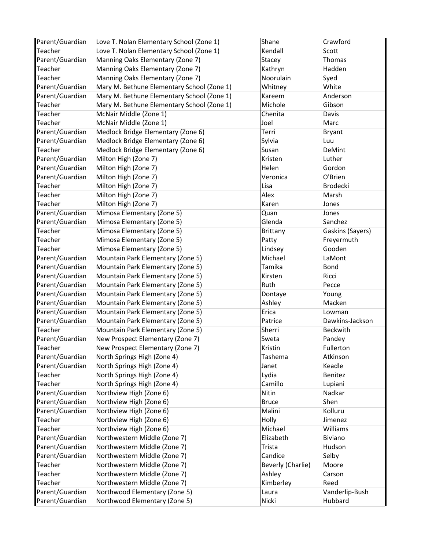| Parent/Guardian | Love T. Nolan Elementary School (Zone 1)   | Shane             | Crawford         |
|-----------------|--------------------------------------------|-------------------|------------------|
| Teacher         | Love T. Nolan Elementary School (Zone 1)   | Kendall           | Scott            |
| Parent/Guardian | Manning Oaks Elementary (Zone 7)           | Stacey            | Thomas           |
| Teacher         | Manning Oaks Elementary (Zone 7)           | Kathryn           | Hadden           |
| Teacher         | Manning Oaks Elementary (Zone 7)           | Noorulain         | Syed             |
| Parent/Guardian | Mary M. Bethune Elementary School (Zone 1) | Whitney           | White            |
| Parent/Guardian | Mary M. Bethune Elementary School (Zone 1) | Kareem            | Anderson         |
| Teacher         | Mary M. Bethune Elementary School (Zone 1) | Michole           | Gibson           |
| Teacher         | McNair Middle (Zone 1)                     | Chenita           | Davis            |
| Teacher         | McNair Middle (Zone 1)                     | Joel              | Marc             |
| Parent/Guardian | Medlock Bridge Elementary (Zone 6)         | Terri             | <b>Bryant</b>    |
| Parent/Guardian | Medlock Bridge Elementary (Zone 6)         | Sylvia            | Luu              |
| Teacher         | Medlock Bridge Elementary (Zone 6)         | Susan             | DeMint           |
| Parent/Guardian | Milton High (Zone 7)                       | Kristen           | Luther           |
| Parent/Guardian | Milton High (Zone 7)                       | Helen             | Gordon           |
| Parent/Guardian | Milton High (Zone 7)                       | Veronica          | O'Brien          |
| Teacher         | Milton High (Zone 7)                       | Lisa              | <b>Brodecki</b>  |
| Teacher         | Milton High (Zone 7)                       | Alex              | Marsh            |
| Teacher         | Milton High (Zone 7)                       | Karen             | Jones            |
| Parent/Guardian | Mimosa Elementary (Zone 5)                 | Quan              | Jones            |
| Parent/Guardian | Mimosa Elementary (Zone 5)                 | Glenda            | Sanchez          |
| Teacher         | Mimosa Elementary (Zone 5)                 | Brittany          | Gaskins (Sayers) |
| Teacher         | Mimosa Elementary (Zone 5)                 | Patty             | Freyermuth       |
| Teacher         | Mimosa Elementary (Zone 5)                 | Lindsey           | Gooden           |
| Parent/Guardian | Mountain Park Elementary (Zone 5)          | Michael           | LaMont           |
| Parent/Guardian | Mountain Park Elementary (Zone 5)          | Tamika            | Bond             |
| Parent/Guardian | Mountain Park Elementary (Zone 5)          | Kirsten           | Ricci            |
| Parent/Guardian | Mountain Park Elementary (Zone 5)          | Ruth              | Pecce            |
| Parent/Guardian | Mountain Park Elementary (Zone 5)          | Dontaye           | Young            |
| Parent/Guardian | Mountain Park Elementary (Zone 5)          | Ashley            | Macken           |
| Parent/Guardian | Mountain Park Elementary (Zone 5)          | Erica             | Lowman           |
| Parent/Guardian | Mountain Park Elementary (Zone 5)          | Patrice           | Dawkins-Jackson  |
| Teacher         | Mountain Park Elementary (Zone 5)          | Sherri            | Beckwith         |
| Parent/Guardian | New Prospect Elementary (Zone 7)           | Sweta             | Pandey           |
| Teacher         | New Prospect Elementary (Zone 7)           | Kristin           | Fullerton        |
| Parent/Guardian | North Springs High (Zone 4)                | Tashema           | Atkinson         |
| Parent/Guardian | North Springs High (Zone 4)                | Janet             | Keadle           |
| Teacher         | North Springs High (Zone 4)                | Lydia             | Benitez          |
| Teacher         | North Springs High (Zone 4)                | Camillo           | Lupiani          |
| Parent/Guardian | Northview High (Zone 6)                    | Nitin             | Nadkar           |
| Parent/Guardian | Northview High (Zone 6)                    | <b>Bruce</b>      | Shen             |
| Parent/Guardian | Northview High (Zone 6)                    | Malini            | Kolluru          |
| Teacher         | Northview High (Zone 6)                    | Holly             | Jimenez          |
| Teacher         | Northview High (Zone 6)                    | Michael           | Williams         |
| Parent/Guardian | Northwestern Middle (Zone 7)               | Elizabeth         | Biviano          |
| Parent/Guardian | Northwestern Middle (Zone 7)               | Trista            | Hudson           |
| Parent/Guardian | Northwestern Middle (Zone 7)               | Candice           | Selby            |
| Teacher         | Northwestern Middle (Zone 7)               | Beverly (Charlie) | Moore            |
| Teacher         | Northwestern Middle (Zone 7)               | Ashley            | Carson           |
| Teacher         | Northwestern Middle (Zone 7)               | Kimberley         | Reed             |
| Parent/Guardian | Northwood Elementary (Zone 5)              | Laura             | Vanderlip-Bush   |
| Parent/Guardian | Northwood Elementary (Zone 5)              | Nicki             | Hubbard          |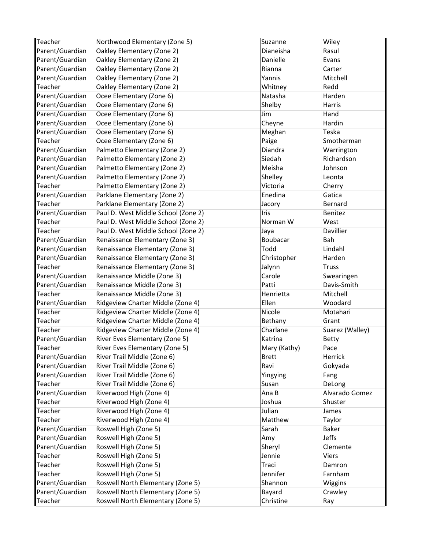| Teacher         | Northwood Elementary (Zone 5)       | Suzanne      | Wiley           |
|-----------------|-------------------------------------|--------------|-----------------|
| Parent/Guardian | Oakley Elementary (Zone 2)          | Dianeisha    | Rasul           |
| Parent/Guardian | Oakley Elementary (Zone 2)          | Danielle     | Evans           |
| Parent/Guardian | Oakley Elementary (Zone 2)          | Rianna       | Carter          |
| Parent/Guardian | Oakley Elementary (Zone 2)          | Yannis       | Mitchell        |
| Teacher         | Oakley Elementary (Zone 2)          | Whitney      | Redd            |
| Parent/Guardian | Ocee Elementary (Zone 6)            | Natasha      | Harden          |
| Parent/Guardian | Ocee Elementary (Zone 6)            | Shelby       | Harris          |
| Parent/Guardian | Ocee Elementary (Zone 6)            | Jim          | Hand            |
| Parent/Guardian | Ocee Elementary (Zone 6)            | Cheyne       | Hardin          |
| Parent/Guardian | Ocee Elementary (Zone 6)            | Meghan       | Teska           |
| Teacher         | Ocee Elementary (Zone 6)            | Paige        | Smotherman      |
| Parent/Guardian | Palmetto Elementary (Zone 2)        | Diandra      | Warrington      |
| Parent/Guardian | Palmetto Elementary (Zone 2)        | Siedah       | Richardson      |
| Parent/Guardian | Palmetto Elementary (Zone 2)        | Meisha       | Johnson         |
| Parent/Guardian | Palmetto Elementary (Zone 2)        | Shelley      | Leonta          |
| Teacher         | Palmetto Elementary (Zone 2)        | Victoria     | Cherry          |
| Parent/Guardian | Parklane Elementary (Zone 2)        | Enedina      | Gatica          |
| Teacher         | Parklane Elementary (Zone 2)        | Jacory       | Bernard         |
| Parent/Guardian | Paul D. West Middle School (Zone 2) | Iris         | <b>Benitez</b>  |
| Teacher         | Paul D. West Middle School (Zone 2) | Norman W     | West            |
| Teacher         | Paul D. West Middle School (Zone 2) | Jaya         | Davillier       |
| Parent/Guardian | Renaissance Elementary (Zone 3)     | Boubacar     | Bah             |
| Parent/Guardian | Renaissance Elementary (Zone 3)     | Todd         | Lindahl         |
| Parent/Guardian | Renaissance Elementary (Zone 3)     | Christopher  | Harden          |
| Teacher         | Renaissance Elementary (Zone 3)     | Jalynn       | <b>Truss</b>    |
| Parent/Guardian | Renaissance Middle (Zone 3)         | Carole       | Swearingen      |
| Parent/Guardian | Renaissance Middle (Zone 3)         | Patti        | Davis-Smith     |
| Teacher         | Renaissance Middle (Zone 3)         | Henrietta    | Mitchell        |
| Parent/Guardian | Ridgeview Charter Middle (Zone 4)   | Ellen        | Woodard         |
| Teacher         | Ridgeview Charter Middle (Zone 4)   | Nicole       | Motahari        |
| Teacher         | Ridgeview Charter Middle (Zone 4)   | Bethany      | Grant           |
| Teacher         | Ridgeview Charter Middle (Zone 4)   | Charlane     | Suarez (Walley) |
| Parent/Guardian | River Eves Elementary (Zone 5)      | Katrina      | Betty           |
| Teacher         | River Eves Elementary (Zone 5)      | Mary (Kathy) | Pace            |
| Parent/Guardian | River Trail Middle (Zone 6)         | <b>Brett</b> | Herrick         |
| Parent/Guardian | River Trail Middle (Zone 6)         | Ravi         | Gokyada         |
| Parent/Guardian | River Trail Middle (Zone 6)         | Yingying     | Fang            |
| Teacher         | River Trail Middle (Zone 6)         | Susan        | DeLong          |
| Parent/Guardian | Riverwood High (Zone 4)             | Ana B        | Alvarado Gomez  |
| Teacher         | Riverwood High (Zone 4)             | Joshua       | Shuster         |
| Teacher         | Riverwood High (Zone 4)             | Julian       | James           |
| Teacher         | Riverwood High (Zone 4)             | Matthew      | Taylor          |
| Parent/Guardian | Roswell High (Zone 5)               | Sarah        | Baker           |
| Parent/Guardian | Roswell High (Zone 5)               | Amy          | <b>Jeffs</b>    |
| Parent/Guardian | Roswell High (Zone 5)               | Sheryl       | Clemente        |
| Teacher         | Roswell High (Zone 5)               | Jennie       | Viers           |
| Teacher         | Roswell High (Zone 5)               | Traci        | Damron          |
| Teacher         | Roswell High (Zone 5)               | Jennifer     | Farnham         |
| Parent/Guardian | Roswell North Elementary (Zone 5)   | Shannon      | Wiggins         |
| Parent/Guardian | Roswell North Elementary (Zone 5)   | Bayard       | Crawley         |
| Teacher         | Roswell North Elementary (Zone 5)   | Christine    |                 |
|                 |                                     |              | Ray             |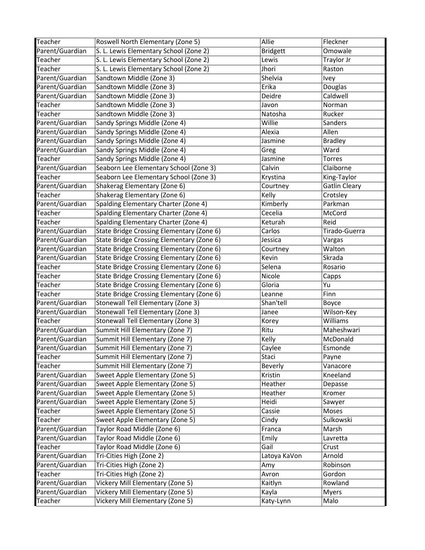| Teacher                    | Roswell North Elementary (Zone 5)                                                      | Allie              | Fleckner             |
|----------------------------|----------------------------------------------------------------------------------------|--------------------|----------------------|
| Parent/Guardian            | S. L. Lewis Elementary School (Zone 2)                                                 | <b>Bridgett</b>    | Omowale              |
| Teacher                    | S. L. Lewis Elementary School (Zone 2)                                                 | Lewis              | Traylor Jr           |
| Teacher                    | S. L. Lewis Elementary School (Zone 2)                                                 | Jhori              | Raston               |
| Parent/Guardian            | Sandtown Middle (Zone 3)                                                               | Shelvia            | Ivey                 |
| Parent/Guardian            | Sandtown Middle (Zone 3)                                                               | Erika              | Douglas              |
| Parent/Guardian            | Sandtown Middle (Zone 3)                                                               | Deidre             | Caldwell             |
| Teacher                    | Sandtown Middle (Zone 3)                                                               | Javon              | Norman               |
| Teacher                    | Sandtown Middle (Zone 3)                                                               | Natosha            | Rucker               |
| Parent/Guardian            | Sandy Springs Middle (Zone 4)                                                          | Willie             | Sanders              |
| Parent/Guardian            | Sandy Springs Middle (Zone 4)                                                          | Alexia             | Allen                |
| Parent/Guardian            | Sandy Springs Middle (Zone 4)                                                          | Jasmine            | <b>Bradley</b>       |
| Parent/Guardian            | Sandy Springs Middle (Zone 4)                                                          | Greg               | Ward                 |
| Teacher                    | Sandy Springs Middle (Zone 4)                                                          | Jasmine            | Torres               |
| Parent/Guardian            | Seaborn Lee Elementary School (Zone 3)                                                 | Calvin             | Claiborne            |
| Teacher                    | Seaborn Lee Elementary School (Zone 3)                                                 | Krystina           | King-Taylor          |
| Parent/Guardian            | Shakerag Elementary (Zone 6)                                                           | Courtney           | <b>Gatlin Cleary</b> |
| Teacher                    | Shakerag Elementary (Zone 6)                                                           | Kelly              | Crotsley             |
| Parent/Guardian            | Spalding Elementary Charter (Zone 4)                                                   | Kimberly           | Parkman              |
| <b>Teacher</b>             | Spalding Elementary Charter (Zone 4)                                                   | Cecelia            | McCord               |
| Teacher                    | Spalding Elementary Charter (Zone 4)                                                   | Keturah            | Reid                 |
| Parent/Guardian            | State Bridge Crossing Elementary (Zone 6)                                              | Carlos             | Tirado-Guerra        |
| Parent/Guardian            | State Bridge Crossing Elementary (Zone 6)                                              | Jessica            | Vargas               |
| Parent/Guardian            | State Bridge Crossing Elementary (Zone 6)                                              | Courtney           | Walton               |
| Parent/Guardian            | State Bridge Crossing Elementary (Zone 6)                                              | Kevin              | Skrada               |
| Teacher                    | State Bridge Crossing Elementary (Zone 6)                                              | Selena             | Rosario              |
|                            |                                                                                        |                    |                      |
| Teacher                    |                                                                                        | Nicole             |                      |
| Teacher                    | State Bridge Crossing Elementary (Zone 6)<br>State Bridge Crossing Elementary (Zone 6) | Gloria             | Capps<br>Yu          |
| Teacher                    | State Bridge Crossing Elementary (Zone 6)                                              | Leanne             | Finn                 |
| Parent/Guardian            | Stonewall Tell Elementary (Zone 3)                                                     | Shan'tell          | Boyce                |
| Parent/Guardian            | Stonewall Tell Elementary (Zone 3)                                                     | Janee              | Wilson-Key           |
| Teacher                    | Stonewall Tell Elementary (Zone 3)                                                     | Korey              | Williams             |
| Parent/Guardian            | Summit Hill Elementary (Zone 7)                                                        | Ritu               | Maheshwari           |
| Parent/Guardian            | Summit Hill Elementary (Zone 7)                                                        | Kelly              | McDonald             |
| Parent/Guardian            | Summit Hill Elementary (Zone 7)                                                        | Caylee             | Esmonde              |
| Teacher                    | Summit Hill Elementary (Zone 7)                                                        | Staci              | Payne                |
| Teacher                    | Summit Hill Elementary (Zone 7)                                                        | <b>Beverly</b>     | Vanacore             |
| Parent/Guardian            | Sweet Apple Elementary (Zone 5)                                                        | Kristin            | Kneeland             |
| Parent/Guardian            | Sweet Apple Elementary (Zone 5)                                                        | Heather            | Depasse              |
| Parent/Guardian            | Sweet Apple Elementary (Zone 5)                                                        | Heather            | Kromer               |
| Parent/Guardian            | Sweet Apple Elementary (Zone 5)                                                        | Heidi              | Sawyer               |
| Teacher                    | Sweet Apple Elementary (Zone 5)                                                        | Cassie             | Moses                |
| Teacher                    | Sweet Apple Elementary (Zone 5)                                                        | Cindy              | Sulkowski            |
| Parent/Guardian            | Taylor Road Middle (Zone 6)                                                            | Franca             | Marsh                |
| Parent/Guardian            | Taylor Road Middle (Zone 6)                                                            | Emily              | Lavretta             |
| Teacher                    | Taylor Road Middle (Zone 6)                                                            | Gail               | Crust                |
| Parent/Guardian            | Tri-Cities High (Zone 2)                                                               | Latoya KaVon       | Arnold               |
| Parent/Guardian            | Tri-Cities High (Zone 2)                                                               | Amy                | Robinson             |
| Teacher                    | Tri-Cities High (Zone 2)                                                               | Avron              | Gordon               |
| Parent/Guardian            | Vickery Mill Elementary (Zone 5)                                                       | Kaitlyn            | Rowland              |
| Parent/Guardian<br>Teacher | Vickery Mill Elementary (Zone 5)<br>Vickery Mill Elementary (Zone 5)                   | Kayla<br>Katy-Lynn | <b>Myers</b><br>Malo |